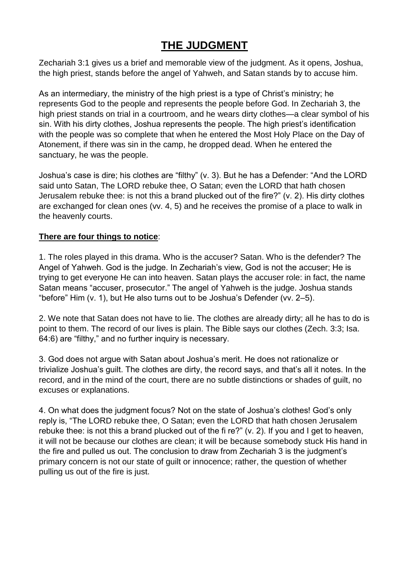# **THE JUDGMENT**

Zechariah 3:1 gives us a brief and memorable view of the judgment. As it opens, Joshua, the high priest, stands before the angel of Yahweh, and Satan stands by to accuse him.

As an intermediary, the ministry of the high priest is a type of Christ's ministry; he represents God to the people and represents the people before God. In Zechariah 3, the high priest stands on trial in a courtroom, and he wears dirty clothes—a clear symbol of his sin. With his dirty clothes, Joshua represents the people. The high priest's identification with the people was so complete that when he entered the Most Holy Place on the Day of Atonement, if there was sin in the camp, he dropped dead. When he entered the sanctuary, he was the people.

Joshua's case is dire; his clothes are "filthy" (v. 3). But he has a Defender: "And the LORD said unto Satan, The LORD rebuke thee, O Satan; even the LORD that hath chosen Jerusalem rebuke thee: is not this a brand plucked out of the fire?" (v. 2). His dirty clothes are exchanged for clean ones (vv. 4, 5) and he receives the promise of a place to walk in the heavenly courts.

#### **There are four things to notice**:

1. The roles played in this drama. Who is the accuser? Satan. Who is the defender? The Angel of Yahweh. God is the judge. In Zechariah's view, God is not the accuser; He is trying to get everyone He can into heaven. Satan plays the accuser role: in fact, the name Satan means "accuser, prosecutor." The angel of Yahweh is the judge. Joshua stands "before" Him (v. 1), but He also turns out to be Joshua's Defender (vv. 2–5).

2. We note that Satan does not have to lie. The clothes are already dirty; all he has to do is point to them. The record of our lives is plain. The Bible says our clothes (Zech. 3:3; Isa. 64:6) are "filthy," and no further inquiry is necessary.

3. God does not argue with Satan about Joshua's merit. He does not rationalize or trivialize Joshua's guilt. The clothes are dirty, the record says, and that's all it notes. In the record, and in the mind of the court, there are no subtle distinctions or shades of guilt, no excuses or explanations.

4. On what does the judgment focus? Not on the state of Joshua's clothes! God's only reply is, "The LORD rebuke thee, O Satan; even the LORD that hath chosen Jerusalem rebuke thee: is not this a brand plucked out of the fi re?" (v. 2). If you and I get to heaven, it will not be because our clothes are clean; it will be because somebody stuck His hand in the fire and pulled us out. The conclusion to draw from Zechariah 3 is the judgment's primary concern is not our state of guilt or innocence; rather, the question of whether pulling us out of the fire is just.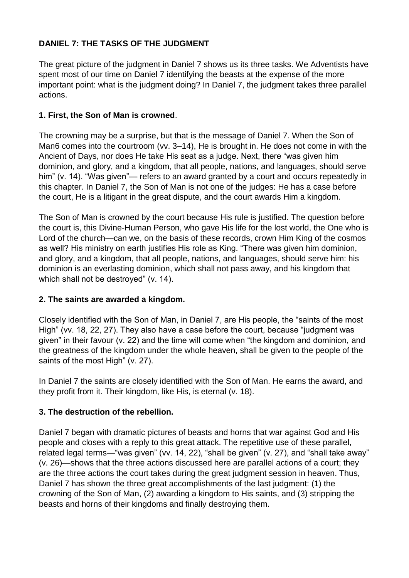## **DANIEL 7: THE TASKS OF THE JUDGMENT**

The great picture of the judgment in Daniel 7 shows us its three tasks. We Adventists have spent most of our time on Daniel 7 identifying the beasts at the expense of the more important point: what is the judgment doing? In Daniel 7, the judgment takes three parallel actions.

### **1. First, the Son of Man is crowned**.

The crowning may be a surprise, but that is the message of Daniel 7. When the Son of Man6 comes into the courtroom (vv. 3–14), He is brought in. He does not come in with the Ancient of Days, nor does He take His seat as a judge. Next, there "was given him dominion, and glory, and a kingdom, that all people, nations, and languages, should serve him" (v. 14). "Was given"— refers to an award granted by a court and occurs repeatedly in this chapter. In Daniel 7, the Son of Man is not one of the judges: He has a case before the court, He is a litigant in the great dispute, and the court awards Him a kingdom.

The Son of Man is crowned by the court because His rule is justified. The question before the court is, this Divine-Human Person, who gave His life for the lost world, the One who is Lord of the church—can we, on the basis of these records, crown Him King of the cosmos as well? His ministry on earth justifies His role as King. "There was given him dominion, and glory, and a kingdom, that all people, nations, and languages, should serve him: his dominion is an everlasting dominion, which shall not pass away, and his kingdom that which shall not be destroyed" (v. 14).

## **2. The saints are awarded a kingdom.**

Closely identified with the Son of Man, in Daniel 7, are His people, the "saints of the most High" (vv. 18, 22, 27). They also have a case before the court, because "judgment was given" in their favour (v. 22) and the time will come when "the kingdom and dominion, and the greatness of the kingdom under the whole heaven, shall be given to the people of the saints of the most High" (v. 27).

In Daniel 7 the saints are closely identified with the Son of Man. He earns the award, and they profit from it. Their kingdom, like His, is eternal (v. 18).

## **3. The destruction of the rebellion.**

Daniel 7 began with dramatic pictures of beasts and horns that war against God and His people and closes with a reply to this great attack. The repetitive use of these parallel, related legal terms—"was given" (vv. 14, 22), "shall be given" (v. 27), and "shall take away" (v. 26)—shows that the three actions discussed here are parallel actions of a court; they are the three actions the court takes during the great judgment session in heaven. Thus, Daniel 7 has shown the three great accomplishments of the last judgment: (1) the crowning of the Son of Man, (2) awarding a kingdom to His saints, and (3) stripping the beasts and horns of their kingdoms and finally destroying them.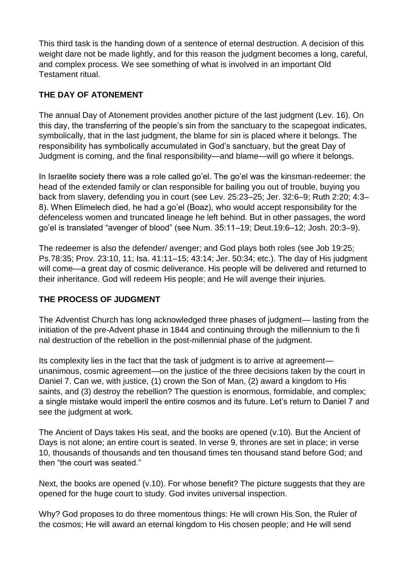This third task is the handing down of a sentence of eternal destruction. A decision of this weight dare not be made lightly, and for this reason the judgment becomes a long, careful, and complex process. We see something of what is involved in an important Old Testament ritual.

### **THE DAY OF ATONEMENT**

The annual Day of Atonement provides another picture of the last judgment (Lev. 16). On this day, the transferring of the people's sin from the sanctuary to the scapegoat indicates, symbolically, that in the last judgment, the blame for sin is placed where it belongs. The responsibility has symbolically accumulated in God's sanctuary, but the great Day of Judgment is coming, and the final responsibility—and blame—will go where it belongs.

In Israelite society there was a role called go'el. The go'el was the kinsman-redeemer: the head of the extended family or clan responsible for bailing you out of trouble, buying you back from slavery, defending you in court (see Lev. 25:23–25; Jer. 32:6–9; Ruth 2:20; 4:3– 8). When Elimelech died, he had a go'el (Boaz), who would accept responsibility for the defenceless women and truncated lineage he left behind. But in other passages, the word go'el is translated "avenger of blood" (see Num. 35:11–19; Deut.19:6–12; Josh. 20:3–9).

The redeemer is also the defender/ avenger; and God plays both roles (see Job 19:25; Ps.78:35; Prov. 23:10, 11; Isa. 41:11–15; 43:14; Jer. 50:34; etc.). The day of His judgment will come—a great day of cosmic deliverance. His people will be delivered and returned to their inheritance. God will redeem His people; and He will avenge their injuries.

## **THE PROCESS OF JUDGMENT**

The Adventist Church has long acknowledged three phases of judgment— lasting from the initiation of the pre-Advent phase in 1844 and continuing through the millennium to the fi nal destruction of the rebellion in the post-millennial phase of the judgment.

Its complexity lies in the fact that the task of judgment is to arrive at agreement unanimous, cosmic agreement—on the justice of the three decisions taken by the court in Daniel 7. Can we, with justice, (1) crown the Son of Man, (2) award a kingdom to His saints, and (3) destroy the rebellion? The question is enormous, formidable, and complex; a single mistake would imperil the entire cosmos and its future. Let's return to Daniel 7 and see the judgment at work.

The Ancient of Days takes His seat, and the books are opened (v.10). But the Ancient of Days is not alone; an entire court is seated. In verse 9, thrones are set in place; in verse 10, thousands of thousands and ten thousand times ten thousand stand before God; and then "the court was seated."

Next, the books are opened (v.10). For whose benefit? The picture suggests that they are opened for the huge court to study. God invites universal inspection.

Why? God proposes to do three momentous things: He will crown His Son, the Ruler of the cosmos; He will award an eternal kingdom to His chosen people; and He will send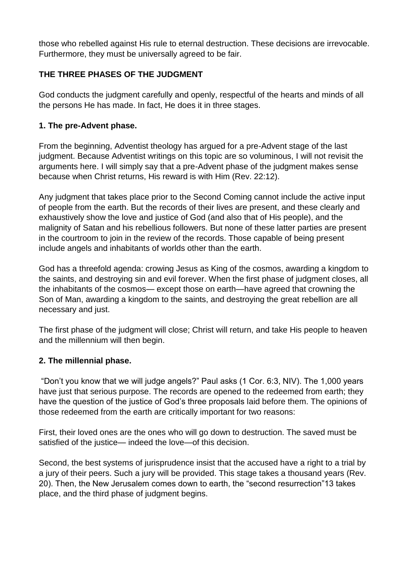those who rebelled against His rule to eternal destruction. These decisions are irrevocable. Furthermore, they must be universally agreed to be fair.

### **THE THREE PHASES OF THE JUDGMENT**

God conducts the judgment carefully and openly, respectful of the hearts and minds of all the persons He has made. In fact, He does it in three stages.

#### **1. The pre-Advent phase.**

From the beginning, Adventist theology has argued for a pre-Advent stage of the last judgment. Because Adventist writings on this topic are so voluminous, I will not revisit the arguments here. I will simply say that a pre-Advent phase of the judgment makes sense because when Christ returns, His reward is with Him (Rev. 22:12).

Any judgment that takes place prior to the Second Coming cannot include the active input of people from the earth. But the records of their lives are present, and these clearly and exhaustively show the love and justice of God (and also that of His people), and the malignity of Satan and his rebellious followers. But none of these latter parties are present in the courtroom to join in the review of the records. Those capable of being present include angels and inhabitants of worlds other than the earth.

God has a threefold agenda: crowing Jesus as King of the cosmos, awarding a kingdom to the saints, and destroying sin and evil forever. When the first phase of judgment closes, all the inhabitants of the cosmos— except those on earth—have agreed that crowning the Son of Man, awarding a kingdom to the saints, and destroying the great rebellion are all necessary and just.

The first phase of the judgment will close; Christ will return, and take His people to heaven and the millennium will then begin.

#### **2. The millennial phase.**

"Don't you know that we will judge angels?" Paul asks (1 Cor. 6:3, NIV). The 1,000 years have just that serious purpose. The records are opened to the redeemed from earth; they have the question of the justice of God's three proposals laid before them. The opinions of those redeemed from the earth are critically important for two reasons:

First, their loved ones are the ones who will go down to destruction. The saved must be satisfied of the justice— indeed the love—of this decision.

Second, the best systems of jurisprudence insist that the accused have a right to a trial by a jury of their peers. Such a jury will be provided. This stage takes a thousand years (Rev. 20). Then, the New Jerusalem comes down to earth, the "second resurrection"13 takes place, and the third phase of judgment begins.